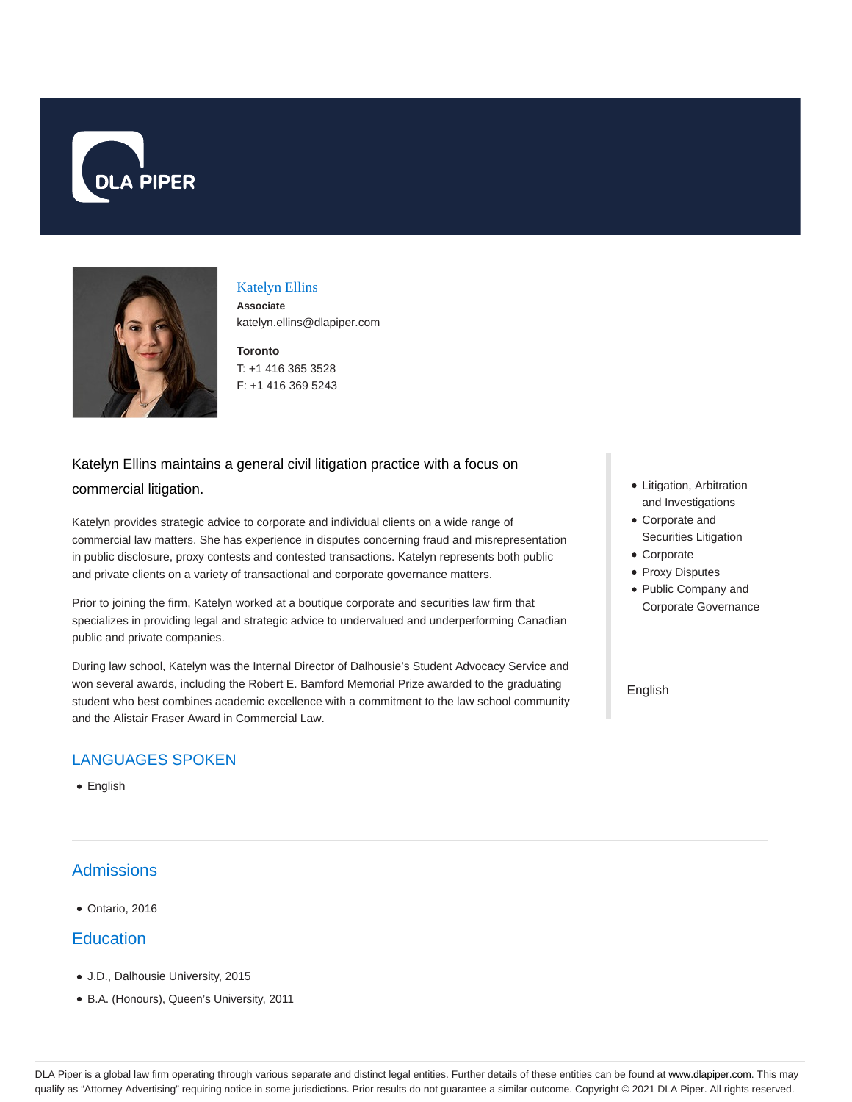



#### Katelyn Ellins

**Associate** katelyn.ellins@dlapiper.com

**Toronto** T: +1 416 365 3528 F: +1 416 369 5243

# Katelyn Ellins maintains a general civil litigation practice with a focus on commercial litigation.

Katelyn provides strategic advice to corporate and individual clients on a wide range of commercial law matters. She has experience in disputes concerning fraud and misrepresentation in public disclosure, proxy contests and contested transactions. Katelyn represents both public and private clients on a variety of transactional and corporate governance matters.

Prior to joining the firm, Katelyn worked at a boutique corporate and securities law firm that specializes in providing legal and strategic advice to undervalued and underperforming Canadian public and private companies.

During law school, Katelyn was the Internal Director of Dalhousie's Student Advocacy Service and won several awards, including the Robert E. Bamford Memorial Prize awarded to the graduating student who best combines academic excellence with a commitment to the law school community and the Alistair Fraser Award in Commercial Law.

### LANGUAGES SPOKEN

• English

### **Admissions**

Ontario, 2016

#### **Education**

- J.D., Dalhousie University, 2015
- B.A. (Honours), Queen's University, 2011
- Litigation, Arbitration and Investigations
- Corporate and Securities Litigation
- Corporate
- Proxy Disputes
- Public Company and Corporate Governance

English